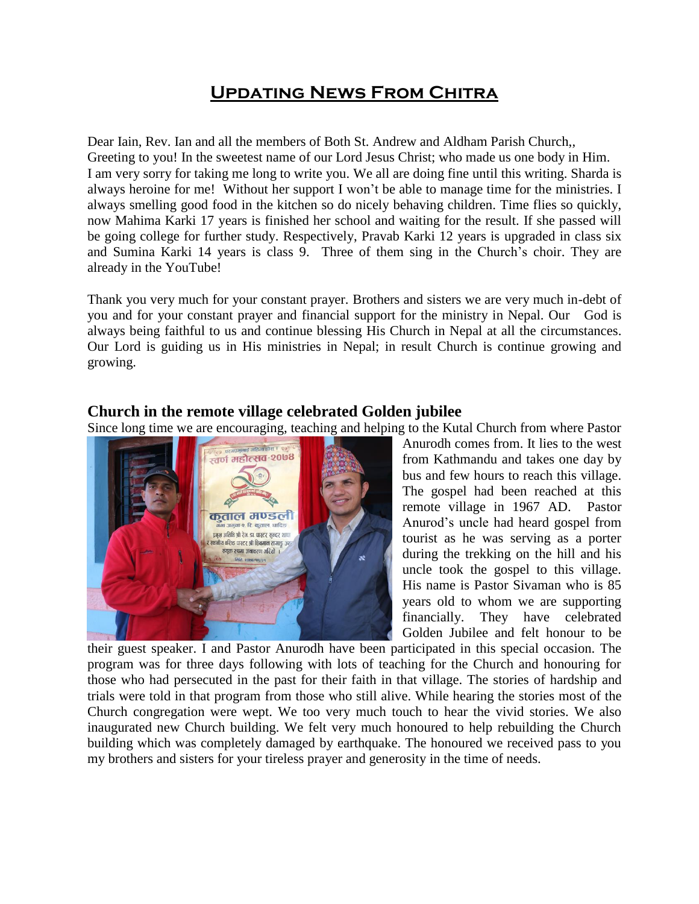# **Updating News From Chitra**

Dear Iain, Rev. Ian and all the members of Both St. Andrew and Aldham Parish Church,, Greeting to you! In the sweetest name of our Lord Jesus Christ; who made us one body in Him. I am very sorry for taking me long to write you. We all are doing fine until this writing. Sharda is always heroine for me! Without her support I won't be able to manage time for the ministries. I always smelling good food in the kitchen so do nicely behaving children. Time flies so quickly, now Mahima Karki 17 years is finished her school and waiting for the result. If she passed will be going college for further study. Respectively, Pravab Karki 12 years is upgraded in class six and Sumina Karki 14 years is class 9. Three of them sing in the Church's choir. They are already in the YouTube!

Thank you very much for your constant prayer. Brothers and sisters we are very much in-debt of you and for your constant prayer and financial support for the ministry in Nepal. Our God is always being faithful to us and continue blessing His Church in Nepal at all the circumstances. Our Lord is guiding us in His ministries in Nepal; in result Church is continue growing and growing.

#### **Church in the remote village celebrated Golden jubilee**

Since long time we are encouraging, teaching and helping to the Kutal Church from where Pastor



Anurodh comes from. It lies to the west from Kathmandu and takes one day by bus and few hours to reach this village. The gospel had been reached at this remote village in 1967 AD. Pastor Anurod's uncle had heard gospel from tourist as he was serving as a porter during the trekking on the hill and his uncle took the gospel to this village. His name is Pastor Sivaman who is 85 years old to whom we are supporting financially. They have celebrated Golden Jubilee and felt honour to be

their guest speaker. I and Pastor Anurodh have been participated in this special occasion. The program was for three days following with lots of teaching for the Church and honouring for those who had persecuted in the past for their faith in that village. The stories of hardship and trials were told in that program from those who still alive. While hearing the stories most of the Church congregation were wept. We too very much touch to hear the vivid stories. We also inaugurated new Church building. We felt very much honoured to help rebuilding the Church building which was completely damaged by earthquake. The honoured we received pass to you my brothers and sisters for your tireless prayer and generosity in the time of needs.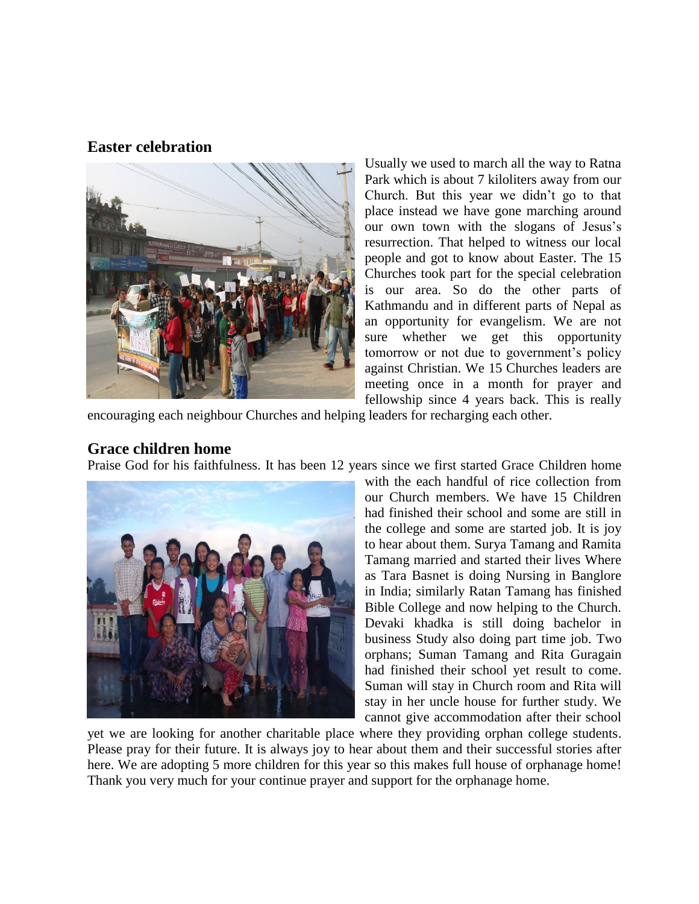### **Easter celebration**



Usually we used to march all the way to Ratna Park which is about 7 kiloliters away from our Church. But this year we didn't go to that place instead we have gone marching around our own town with the slogans of Jesus's resurrection. That helped to witness our local people and got to know about Easter. The 15 Churches took part for the special celebration is our area. So do the other parts of Kathmandu and in different parts of Nepal as an opportunity for evangelism. We are not sure whether we get this opportunity tomorrow or not due to government's policy against Christian. We 15 Churches leaders are meeting once in a month for prayer and fellowship since 4 years back. This is really

encouraging each neighbour Churches and helping leaders for recharging each other.

## **Grace children home**

Praise God for his faithfulness. It has been 12 years since we first started Grace Children home



with the each handful of rice collection from our Church members. We have 15 Children had finished their school and some are still in the college and some are started job. It is joy to hear about them. Surya Tamang and Ramita Tamang married and started their lives Where as Tara Basnet is doing Nursing in Banglore in India; similarly Ratan Tamang has finished Bible College and now helping to the Church. Devaki khadka is still doing bachelor in business Study also doing part time job. Two orphans; Suman Tamang and Rita Guragain had finished their school yet result to come. Suman will stay in Church room and Rita will stay in her uncle house for further study. We cannot give accommodation after their school

yet we are looking for another charitable place where they providing orphan college students. Please pray for their future. It is always joy to hear about them and their successful stories after here. We are adopting 5 more children for this year so this makes full house of orphanage home! Thank you very much for your continue prayer and support for the orphanage home.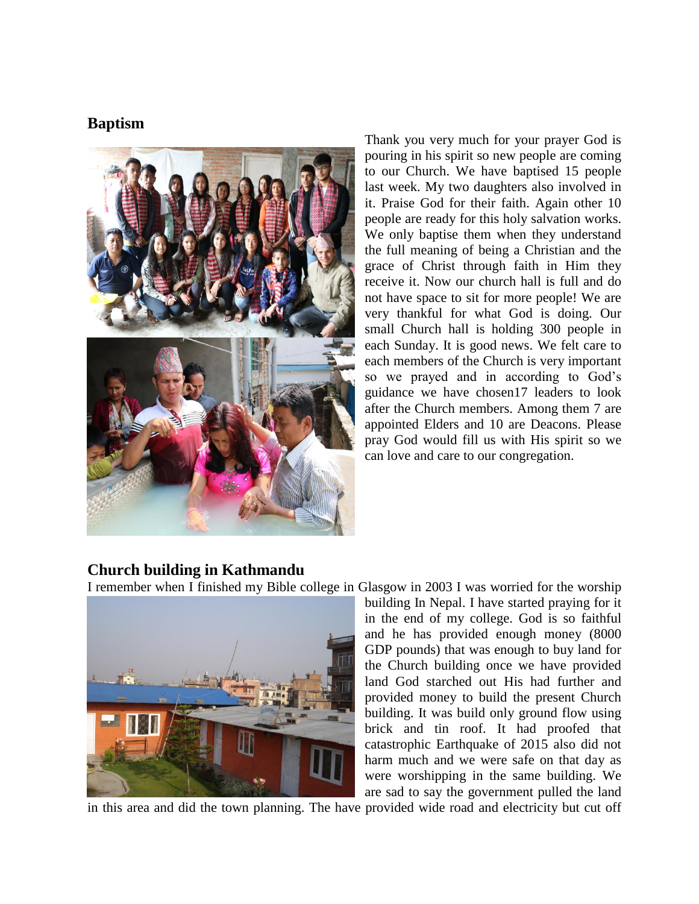## **Baptism**



Thank you very much for your prayer God is pouring in his spirit so new people are coming to our Church. We have baptised 15 people last week. My two daughters also involved in it. Praise God for their faith. Again other 10 people are ready for this holy salvation works. We only baptise them when they understand the full meaning of being a Christian and the grace of Christ through faith in Him they receive it. Now our church hall is full and do not have space to sit for more people! We are very thankful for what God is doing. Our small Church hall is holding 300 people in each Sunday. It is good news. We felt care to each members of the Church is very important so we prayed and in according to God's guidance we have chosen17 leaders to look after the Church members. Among them 7 are appointed Elders and 10 are Deacons. Please pray God would fill us with His spirit so we can love and care to our congregation.

#### **Church building in Kathmandu**





building In Nepal. I have started praying for it in the end of my college. God is so faithful and he has provided enough money (8000 GDP pounds) that was enough to buy land for the Church building once we have provided land God starched out His had further and provided money to build the present Church building. It was build only ground flow using brick and tin roof. It had proofed that catastrophic Earthquake of 2015 also did not harm much and we were safe on that day as were worshipping in the same building. We are sad to say the government pulled the land

in this area and did the town planning. The have provided wide road and electricity but cut off